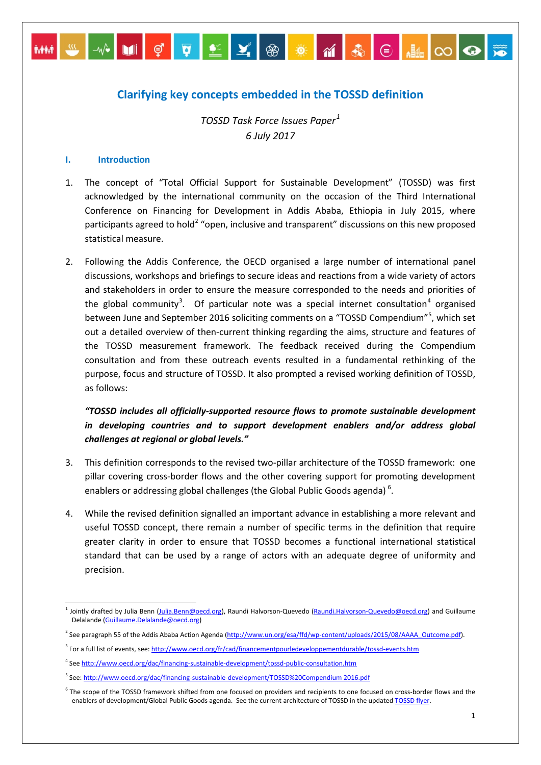# **Clarifying key concepts embedded in the TOSSD definition**

MM S X DI Ç Q L Y ® <del>X</del> M & G HIOO

*TOSSD Task Force Issues Paper[1](#page-0-0) 6 July 2017*

#### **I. Introduction**

- 1. The concept of "Total Official Support for Sustainable Development" (TOSSD) was first acknowledged by the international community on the occasion of the Third International Conference on Financing for Development in Addis Ababa, Ethiopia in July 2015, where participants agreed to hold<sup>[2](#page-0-1)</sup> "open, inclusive and transparent" discussions on this new proposed statistical measure.
- 2. Following the Addis Conference, the OECD organised a large number of international panel discussions, workshops and briefings to secure ideas and reactions from a wide variety of actors and stakeholders in order to ensure the measure corresponded to the needs and priorities of the global community<sup>[3](#page-0-2)</sup>. Of particular note was a special internet consultation<sup>[4](#page-0-3)</sup> organised between June and September 2016 soliciting comments on a "TOSSD Compendium"<sup>[5](#page-0-4)</sup>, which set out a detailed overview of then-current thinking regarding the aims, structure and features of the TOSSD measurement framework. The feedback received during the Compendium consultation and from these outreach events resulted in a fundamental rethinking of the purpose, focus and structure of TOSSD. It also prompted a revised working definition of TOSSD, as follows:

# *"TOSSD includes all officially-supported resource flows to promote sustainable development in developing countries and to support development enablers and/or address global challenges at regional or global levels."*

- 3. This definition corresponds to the revised two-pillar architecture of the TOSSD framework: one pillar covering cross-border flows and the other covering support for promoting development enablers or addressing global challenges (the Global Public Goods agenda)<sup>[6](#page-0-5)</sup>.
- 4. While the revised definition signalled an important advance in establishing a more relevant and useful TOSSD concept, there remain a number of specific terms in the definition that require greater clarity in order to ensure that TOSSD becomes a functional international statistical standard that can be used by a range of actors with an adequate degree of uniformity and precision.

<span id="page-0-0"></span><sup>&</sup>lt;sup>1</sup> Jointly drafted by Julia Benn [\(Julia.Benn@oecd.org\)](mailto:Julia.Benn@oecd.org), Raundi Halvorson-Quevedo [\(Raundi.Halvorson-Quevedo@oecd.org\)](mailto:Raundi.Halvorson-Quevedo@oecd.org) and Guillaume Delalande [\(Guillaume.Delalande@oecd.org\)](mailto:Guillaume.Delalande@oecd.org)

<span id="page-0-1"></span><sup>&</sup>lt;sup>2</sup> See paragraph 55 of the Addis Ababa Action Agenda [\(http://www.un.org/esa/ffd/wp-content/uploads/2015/08/AAAA\\_Outcome.pdf\).](http://www.un.org/esa/ffd/wp-content/uploads/2015/08/AAAA_Outcome.pdf)

<span id="page-0-2"></span><sup>&</sup>lt;sup>3</sup> For a full list of events, see:<http://www.oecd.org/fr/cad/financementpourledeveloppementdurable/tossd-events.htm>

<span id="page-0-3"></span><sup>4</sup> Se[e http://www.oecd.org/dac/financing-sustainable-development/tossd-public-consultation.htm](http://www.oecd.org/dac/financing-sustainable-development/tossd-public-consultation.htm)

<span id="page-0-4"></span><sup>&</sup>lt;sup>5</sup> See[: http://www.oecd.org/dac/financing-sustainable-development/TOSSD%20Compendium 2016.pdf](http://www.oecd.org/dac/financing-sustainable-development/TOSSD%20Compendium2016.pdf)

<span id="page-0-5"></span><sup>&</sup>lt;sup>6</sup> The scope of the TOSSD framework shifted from one focused on providers and recipients to one focused on cross-border flows and the enablers of development/Global Public Goods agenda. See the current architecture of TOSSD in the updated [TOSSD flyer.](http://www.oecd.org/dac/financing-sustainable-development/tossd.htm)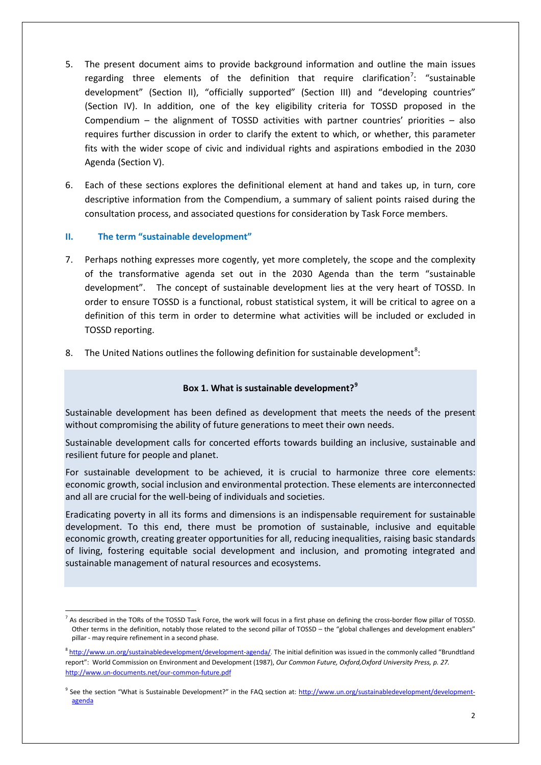- 5. The present document aims to provide background information and outline the main issues regarding three elements of the definition that require clarification<sup>[7](#page-1-0)</sup>: "sustainable development" (Section II), "officially supported" (Section III) and "developing countries" (Section IV). In addition, one of the key eligibility criteria for TOSSD proposed in the Compendium – the alignment of TOSSD activities with partner countries' priorities – also requires further discussion in order to clarify the extent to which, or whether, this parameter fits with the wider scope of civic and individual rights and aspirations embodied in the 2030 Agenda (Section V).
- 6. Each of these sections explores the definitional element at hand and takes up, in turn, core descriptive information from the Compendium, a summary of salient points raised during the consultation process, and associated questions for consideration by Task Force members.

# **II. The term "sustainable development"**

- 7. Perhaps nothing expresses more cogently, yet more completely, the scope and the complexity of the transformative agenda set out in the 2030 Agenda than the term "sustainable development". The concept of sustainable development lies at the very heart of TOSSD. In order to ensure TOSSD is a functional, robust statistical system, it will be critical to agree on a definition of this term in order to determine what activities will be included or excluded in TOSSD reporting.
- [8](#page-1-1). The United Nations outlines the following definition for sustainable development<sup>8</sup>:

# **Box 1. What is sustainable development?[9](#page-1-2)**

Sustainable development has been defined as development that meets the needs of the present without compromising the ability of future generations to meet their own needs.

Sustainable development calls for concerted efforts towards building an inclusive, sustainable and resilient future for people and planet.

For sustainable development to be achieved, it is crucial to harmonize three core elements: economic growth, social inclusion and environmental protection. These elements are interconnected and all are crucial for the well-being of individuals and societies.

Eradicating poverty in all its forms and dimensions is an indispensable requirement for sustainable development. To this end, there must be promotion of sustainable, inclusive and equitable economic growth, creating greater opportunities for all, reducing inequalities, raising basic standards of living, fostering equitable social development and inclusion, and promoting integrated and sustainable management of natural resources and ecosystems.

<span id="page-1-0"></span> $<sup>7</sup>$  As described in the TORs of the TOSSD Task Force, the work will focus in a first phase on defining the cross-border flow pillar of TOSSD.</sup> Other terms in the definition, notably those related to the second pillar of TOSSD – the "global challenges and development enablers" pillar - may require refinement in a second phase.

<span id="page-1-1"></span><sup>&</sup>lt;sup>8</sup> [http://www.un.org/sustainabledevelopment/development-agenda/.](http://www.un.org/sustainabledevelopment/development-agenda/) The initial definition was issued in the commonly called "Brundtland report": World Commission on Environment and Development (1987), *Our Common Future, Oxford,Oxford University Press, p. 27.* <http://www.un-documents.net/our-common-future.pdf>

<span id="page-1-2"></span><sup>&</sup>lt;sup>9</sup> See the section "What is Sustainable Development?" in the FAQ section at: [http://www.un.org/sustainabledevelopment/development](http://www.un.org/sustainabledevelopment/development-agenda)[agenda](http://www.un.org/sustainabledevelopment/development-agenda)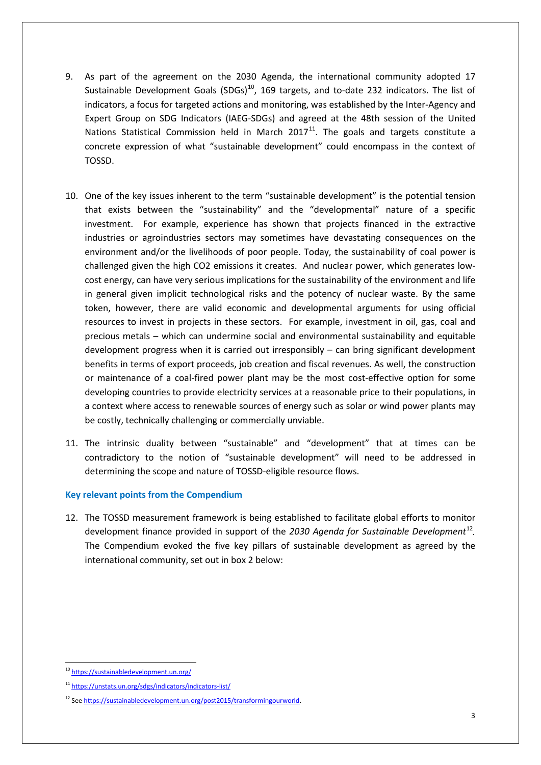- 9. As part of the agreement on the 2030 Agenda, the international community adopted 17 Sustainable Development Goals  $(SDGs)^{10}$ , 169 targets, and to-date 232 indicators. The list of indicators, a focus for targeted actions and monitoring, was established by the Inter-Agency and Expert Group on SDG Indicators (IAEG-SDGs) and agreed at the 48th session of the United Nations Statistical Commission held in March  $2017<sup>11</sup>$  $2017<sup>11</sup>$  $2017<sup>11</sup>$ . The goals and targets constitute a concrete expression of what "sustainable development" could encompass in the context of TOSSD.
- 10. One of the key issues inherent to the term "sustainable development" is the potential tension that exists between the "sustainability" and the "developmental" nature of a specific investment. For example, experience has shown that projects financed in the extractive industries or agroindustries sectors may sometimes have devastating consequences on the environment and/or the livelihoods of poor people. Today, the sustainability of coal power is challenged given the high CO2 emissions it creates. And nuclear power, which generates lowcost energy, can have very serious implications for the sustainability of the environment and life in general given implicit technological risks and the potency of nuclear waste. By the same token, however, there are valid economic and developmental arguments for using official resources to invest in projects in these sectors. For example, investment in oil, gas, coal and precious metals – which can undermine social and environmental sustainability and equitable development progress when it is carried out irresponsibly – can bring significant development benefits in terms of export proceeds, job creation and fiscal revenues. As well, the construction or maintenance of a coal-fired power plant may be the most cost-effective option for some developing countries to provide electricity services at a reasonable price to their populations, in a context where access to renewable sources of energy such as solar or wind power plants may be costly, technically challenging or commercially unviable.
- 11. The intrinsic duality between "sustainable" and "development" that at times can be contradictory to the notion of "sustainable development" will need to be addressed in determining the scope and nature of TOSSD-eligible resource flows.

### **Key relevant points from the Compendium**

12. The TOSSD measurement framework is being established to facilitate global efforts to monitor development finance provided in support of the *2030 Agenda for Sustainable Development*[12](#page-2-2)*.*  The Compendium evoked the five key pillars of sustainable development as agreed by the international community, set out in box 2 below:

<span id="page-2-0"></span> <sup>10</sup> <https://sustainabledevelopment.un.org/>

<span id="page-2-1"></span><sup>11</sup> <https://unstats.un.org/sdgs/indicators/indicators-list/>

<span id="page-2-2"></span><sup>12</sup> Se[e https://sustainabledevelopment.un.org/post2015/transformingourworld.](https://sustainabledevelopment.un.org/post2015/transformingourworld)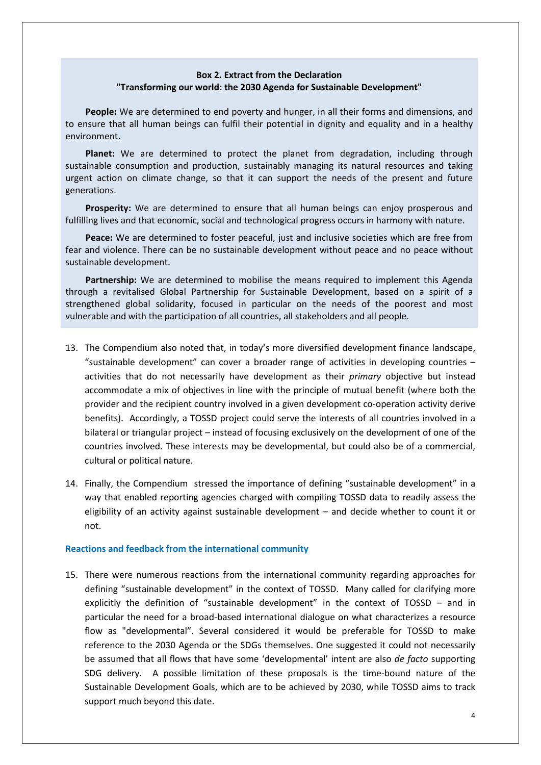# **Box 2. Extract from the Declaration "Transforming our world: the 2030 Agenda for Sustainable Development"**

**People:** We are determined to end poverty and hunger, in all their forms and dimensions, and to ensure that all human beings can fulfil their potential in dignity and equality and in a healthy environment.

**Planet:** We are determined to protect the planet from degradation, including through sustainable consumption and production, sustainably managing its natural resources and taking urgent action on climate change, so that it can support the needs of the present and future generations.

**Prosperity:** We are determined to ensure that all human beings can enjoy prosperous and fulfilling lives and that economic, social and technological progress occurs in harmony with nature.

**Peace:** We are determined to foster peaceful, just and inclusive societies which are free from fear and violence. There can be no sustainable development without peace and no peace without sustainable development.

Partnership: We are determined to mobilise the means required to implement this Agenda through a revitalised Global Partnership for Sustainable Development, based on a spirit of a strengthened global solidarity, focused in particular on the needs of the poorest and most vulnerable and with the participation of all countries, all stakeholders and all people.

- 13. The Compendium also noted that, in today's more diversified development finance landscape, "sustainable development" can cover a broader range of activities in developing countries  $$ activities that do not necessarily have development as their *primary* objective but instead accommodate a mix of objectives in line with the principle of mutual benefit (where both the provider and the recipient country involved in a given development co-operation activity derive benefits). Accordingly, a TOSSD project could serve the interests of all countries involved in a bilateral or triangular project – instead of focusing exclusively on the development of one of the countries involved. These interests may be developmental, but could also be of a commercial, cultural or political nature.
- 14. Finally, the Compendium stressed the importance of defining "sustainable development" in a way that enabled reporting agencies charged with compiling TOSSD data to readily assess the eligibility of an activity against sustainable development – and decide whether to count it or not.

#### **Reactions and feedback from the international community**

15. There were numerous reactions from the international community regarding approaches for defining "sustainable development" in the context of TOSSD. Many called for clarifying more explicitly the definition of "sustainable development" in the context of TOSSD – and in particular the need for a broad-based international dialogue on what characterizes a resource flow as "developmental". Several considered it would be preferable for TOSSD to make reference to the 2030 Agenda or the SDGs themselves. One suggested it could not necessarily be assumed that all flows that have some 'developmental' intent are also *de facto* supporting SDG delivery. A possible limitation of these proposals is the time-bound nature of the Sustainable Development Goals, which are to be achieved by 2030, while TOSSD aims to track support much beyond this date.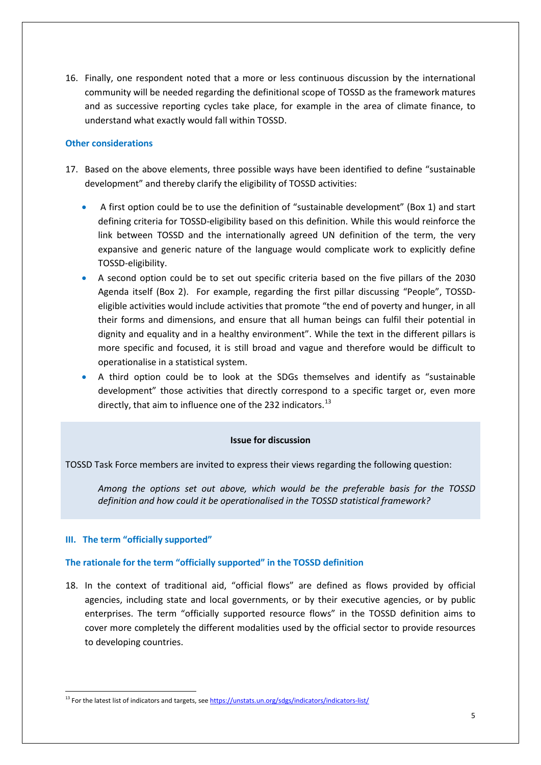16. Finally, one respondent noted that a more or less continuous discussion by the international community will be needed regarding the definitional scope of TOSSD as the framework matures and as successive reporting cycles take place, for example in the area of climate finance, to understand what exactly would fall within TOSSD.

#### **Other considerations**

- 17. Based on the above elements, three possible ways have been identified to define "sustainable development" and thereby clarify the eligibility of TOSSD activities:
	- A first option could be to use the definition of "sustainable development" (Box 1) and start defining criteria for TOSSD-eligibility based on this definition. While this would reinforce the link between TOSSD and the internationally agreed UN definition of the term, the very expansive and generic nature of the language would complicate work to explicitly define TOSSD-eligibility.
	- A second option could be to set out specific criteria based on the five pillars of the 2030 Agenda itself (Box 2). For example, regarding the first pillar discussing "People", TOSSDeligible activities would include activities that promote "the end of poverty and hunger, in all their forms and dimensions, and ensure that all human beings can fulfil their potential in dignity and equality and in a healthy environment". While the text in the different pillars is more specific and focused, it is still broad and vague and therefore would be difficult to operationalise in a statistical system.
	- A third option could be to look at the SDGs themselves and identify as "sustainable development" those activities that directly correspond to a specific target or, even more directly, that aim to influence one of the 232 indicators.<sup>[13](#page-4-0)</sup>

#### **Issue for discussion**

TOSSD Task Force members are invited to express their views regarding the following question:

*Among the options set out above, which would be the preferable basis for the TOSSD definition and how could it be operationalised in the TOSSD statistical framework?* 

### **III. The term "officially supported"**

#### **The rationale for the term "officially supported" in the TOSSD definition**

18. In the context of traditional aid, "official flows" are defined as flows provided by official agencies, including state and local governments, or by their executive agencies, or by public enterprises. The term "officially supported resource flows" in the TOSSD definition aims to cover more completely the different modalities used by the official sector to provide resources to developing countries.

<span id="page-4-0"></span><sup>&</sup>lt;sup>13</sup> For the latest list of indicators and targets, se[e https://unstats.un.org/sdgs/indicators/indicators-list/](https://unstats.un.org/sdgs/indicators/indicators-list/)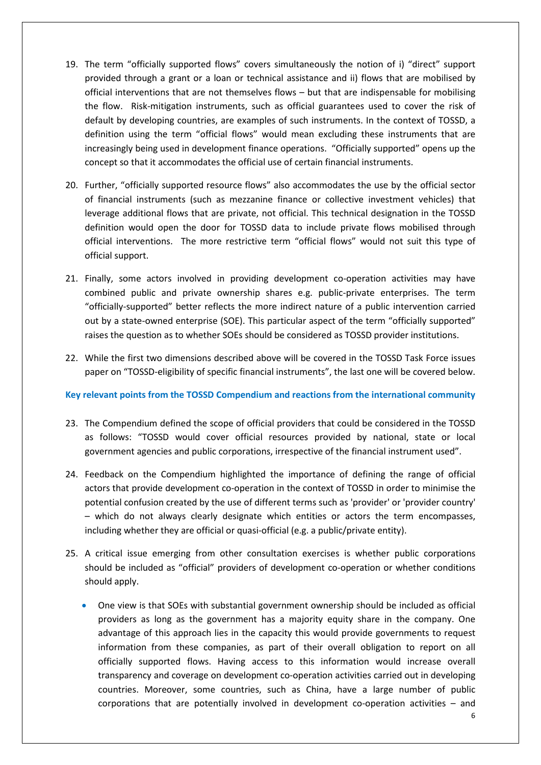- 19. The term "officially supported flows" covers simultaneously the notion of i) "direct" support provided through a grant or a loan or technical assistance and ii) flows that are mobilised by official interventions that are not themselves flows – but that are indispensable for mobilising the flow. Risk-mitigation instruments, such as official guarantees used to cover the risk of default by developing countries, are examples of such instruments. In the context of TOSSD, a definition using the term "official flows" would mean excluding these instruments that are increasingly being used in development finance operations. "Officially supported" opens up the concept so that it accommodates the official use of certain financial instruments.
- 20. Further, "officially supported resource flows" also accommodates the use by the official sector of financial instruments (such as mezzanine finance or collective investment vehicles) that leverage additional flows that are private, not official. This technical designation in the TOSSD definition would open the door for TOSSD data to include private flows mobilised through official interventions. The more restrictive term "official flows" would not suit this type of official support.
- 21. Finally, some actors involved in providing development co-operation activities may have combined public and private ownership shares e.g. public-private enterprises. The term "officially-supported" better reflects the more indirect nature of a public intervention carried out by a state-owned enterprise (SOE). This particular aspect of the term "officially supported" raises the question as to whether SOEs should be considered as TOSSD provider institutions.
- 22. While the first two dimensions described above will be covered in the TOSSD Task Force issues paper on "TOSSD-eligibility of specific financial instruments", the last one will be covered below.

### **Key relevant points from the TOSSD Compendium and reactions from the international community**

- 23. The Compendium defined the scope of official providers that could be considered in the TOSSD as follows: "TOSSD would cover official resources provided by national, state or local government agencies and public corporations, irrespective of the financial instrument used".
- 24. Feedback on the Compendium highlighted the importance of defining the range of official actors that provide development co-operation in the context of TOSSD in order to minimise the potential confusion created by the use of different terms such as 'provider' or 'provider country' – which do not always clearly designate which entities or actors the term encompasses, including whether they are official or quasi-official (e.g. a public/private entity).
- 25. A critical issue emerging from other consultation exercises is whether public corporations should be included as "official" providers of development co-operation or whether conditions should apply.
	- One view is that SOEs with substantial government ownership should be included as official providers as long as the government has a majority equity share in the company. One advantage of this approach lies in the capacity this would provide governments to request information from these companies, as part of their overall obligation to report on all officially supported flows. Having access to this information would increase overall transparency and coverage on development co-operation activities carried out in developing countries. Moreover, some countries, such as China, have a large number of public corporations that are potentially involved in development co-operation activities – and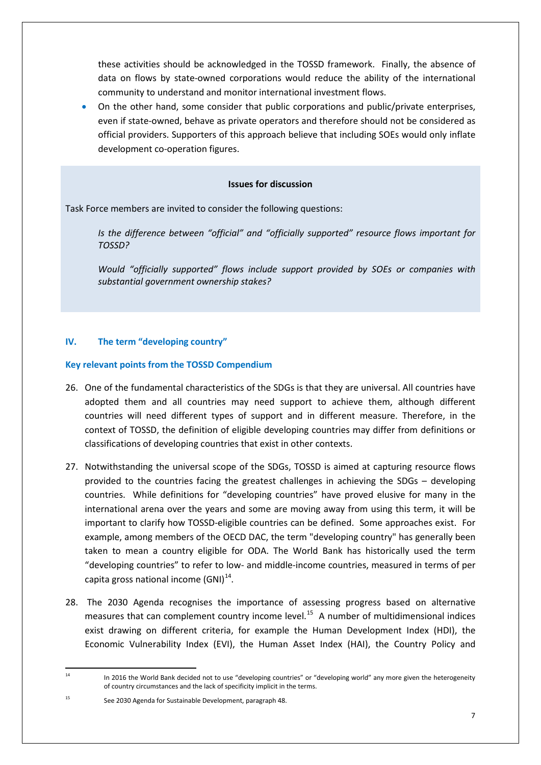these activities should be acknowledged in the TOSSD framework. Finally, the absence of data on flows by state-owned corporations would reduce the ability of the international community to understand and monitor international investment flows.

• On the other hand, some consider that public corporations and public/private enterprises, even if state-owned, behave as private operators and therefore should not be considered as official providers. Supporters of this approach believe that including SOEs would only inflate development co-operation figures.

#### **Issues for discussion**

Task Force members are invited to consider the following questions:

*Is the difference between "official" and "officially supported" resource flows important for TOSSD?* 

*Would "officially supported" flows include support provided by SOEs or companies with substantial government ownership stakes?* 

# **IV. The term "developing country"**

### **Key relevant points from the TOSSD Compendium**

- 26. One of the fundamental characteristics of the SDGs is that they are universal. All countries have adopted them and all countries may need support to achieve them, although different countries will need different types of support and in different measure. Therefore, in the context of TOSSD, the definition of eligible developing countries may differ from definitions or classifications of developing countries that exist in other contexts.
- 27. Notwithstanding the universal scope of the SDGs, TOSSD is aimed at capturing resource flows provided to the countries facing the greatest challenges in achieving the SDGs – developing countries. While definitions for "developing countries" have proved elusive for many in the international arena over the years and some are moving away from using this term, it will be important to clarify how TOSSD-eligible countries can be defined. Some approaches exist. For example, among members of the OECD DAC, the term "developing country" has generally been taken to mean a country eligible for ODA. The World Bank has historically used the term "developing countries" to refer to low- and middle-income countries, measured in terms of per capita gross national income  $(GNI)^{14}$ .
- 28. The 2030 Agenda recognises the importance of assessing progress based on alternative measures that can complement country income level.<sup>[15](#page-6-1)</sup> A number of multidimensional indices exist drawing on different criteria, for example the Human Development Index (HDI), the Economic Vulnerability Index (EVI), the Human Asset Index (HAI), the Country Policy and

<span id="page-6-0"></span> <sup>14</sup> In 2016 the World Bank decided not to use "developing countries" or "developing world" any more given the heterogeneity of country circumstances and the lack of specificity implicit in the terms.

<span id="page-6-1"></span><sup>15</sup> See 2030 Agenda for Sustainable Development, paragraph 48.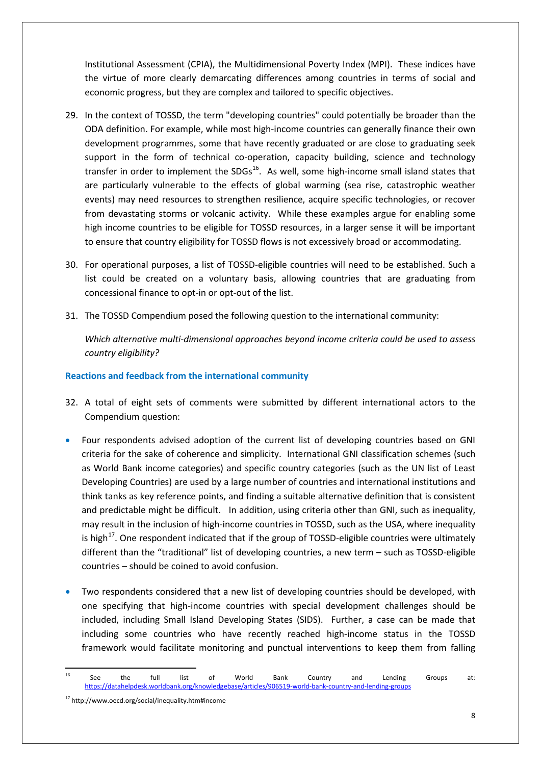Institutional Assessment (CPIA), the Multidimensional Poverty Index (MPI). These indices have the virtue of more clearly demarcating differences among countries in terms of social and economic progress, but they are complex and tailored to specific objectives.

- 29. In the context of TOSSD, the term "developing countries" could potentially be broader than the ODA definition. For example, while most high-income countries can generally finance their own development programmes, some that have recently graduated or are close to graduating seek support in the form of technical co-operation, capacity building, science and technology transfer in order to implement the  $SDGs^{16}$  $SDGs^{16}$  $SDGs^{16}$ . As well, some high-income small island states that are particularly vulnerable to the effects of global warming (sea rise, catastrophic weather events) may need resources to strengthen resilience, acquire specific technologies, or recover from devastating storms or volcanic activity. While these examples argue for enabling some high income countries to be eligible for TOSSD resources, in a larger sense it will be important to ensure that country eligibility for TOSSD flows is not excessively broad or accommodating.
- 30. For operational purposes, a list of TOSSD-eligible countries will need to be established. Such a list could be created on a voluntary basis, allowing countries that are graduating from concessional finance to opt-in or opt-out of the list.
- 31. The TOSSD Compendium posed the following question to the international community:

*Which alternative multi-dimensional approaches beyond income criteria could be used to assess country eligibility?*

### **Reactions and feedback from the international community**

- 32. A total of eight sets of comments were submitted by different international actors to the Compendium question:
- Four respondents advised adoption of the current list of developing countries based on GNI criteria for the sake of coherence and simplicity. International GNI classification schemes (such as World Bank income categories) and specific country categories (such as the UN list of Least Developing Countries) are used by a large number of countries and international institutions and think tanks as key reference points, and finding a suitable alternative definition that is consistent and predictable might be difficult. In addition, using criteria other than GNI, such as inequality, may result in the inclusion of high-income countries in TOSSD, such as the USA, where inequality is high<sup>[17](#page-7-1)</sup>. One respondent indicated that if the group of TOSSD-eligible countries were ultimately different than the "traditional" list of developing countries, a new term – such as TOSSD-eligible countries – should be coined to avoid confusion.
- Two respondents considered that a new list of developing countries should be developed, with one specifying that high-income countries with special development challenges should be included, including Small Island Developing States (SIDS). Further, a case can be made that including some countries who have recently reached high-income status in the TOSSD framework would facilitate monitoring and punctual interventions to keep them from falling

<span id="page-7-0"></span>**The Communist Communist Communist Country**<br><sup>16</sup> See the full list of World Bank Country and Lending Groups at: <https://datahelpdesk.worldbank.org/knowledgebase/articles/906519-world-bank-country-and-lending-groups>

<span id="page-7-1"></span><sup>17</sup> http://www.oecd.org/social/inequality.htm#income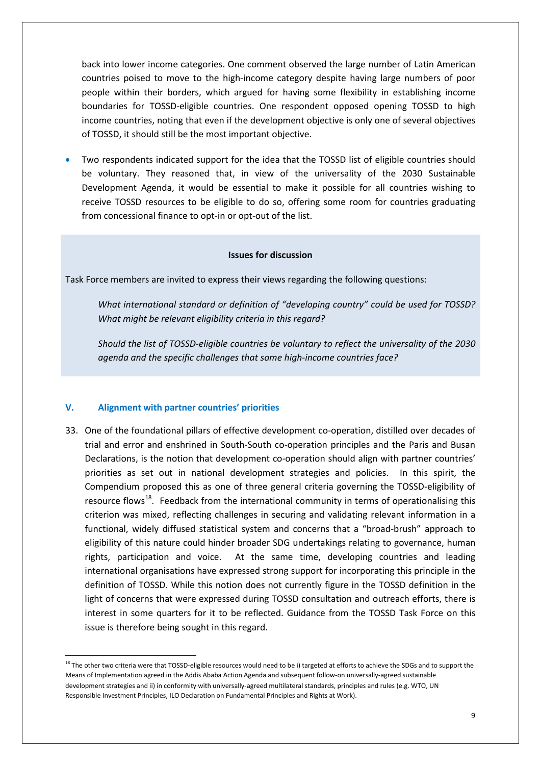back into lower income categories. One comment observed the large number of Latin American countries poised to move to the high-income category despite having large numbers of poor people within their borders, which argued for having some flexibility in establishing income boundaries for TOSSD-eligible countries. One respondent opposed opening TOSSD to high income countries, noting that even if the development objective is only one of several objectives of TOSSD, it should still be the most important objective.

• Two respondents indicated support for the idea that the TOSSD list of eligible countries should be voluntary. They reasoned that, in view of the universality of the 2030 Sustainable Development Agenda, it would be essential to make it possible for all countries wishing to receive TOSSD resources to be eligible to do so, offering some room for countries graduating from concessional finance to opt-in or opt-out of the list.

#### **Issues for discussion**

Task Force members are invited to express their views regarding the following questions:

*What international standard or definition of "developing country" could be used for TOSSD? What might be relevant eligibility criteria in this regard?*

*Should the list of TOSSD-eligible countries be voluntary to reflect the universality of the 2030 agenda and the specific challenges that some high-income countries face?*

#### **V. Alignment with partner countries' priorities**

33. One of the foundational pillars of effective development co-operation, distilled over decades of trial and error and enshrined in South-South co-operation principles and the Paris and Busan Declarations, is the notion that development co-operation should align with partner countries' priorities as set out in national development strategies and policies. In this spirit, the Compendium proposed this as one of three general criteria governing the TOSSD-eligibility of resource flows<sup>18</sup>. Feedback from the international community in terms of operationalising this criterion was mixed, reflecting challenges in securing and validating relevant information in a functional, widely diffused statistical system and concerns that a "broad-brush" approach to eligibility of this nature could hinder broader SDG undertakings relating to governance, human rights, participation and voice. At the same time, developing countries and leading international organisations have expressed strong support for incorporating this principle in the definition of TOSSD. While this notion does not currently figure in the TOSSD definition in the light of concerns that were expressed during TOSSD consultation and outreach efforts, there is interest in some quarters for it to be reflected. Guidance from the TOSSD Task Force on this issue is therefore being sought in this regard.

<span id="page-8-0"></span><sup>&</sup>lt;sup>18</sup> The other two criteria were that TOSSD-eligible resources would need to be i) targeted at efforts to achieve the SDGs and to support the Means of Implementation agreed in the Addis Ababa Action Agenda and subsequent follow-on universally-agreed sustainable development strategies and ii) in conformity with universally-agreed multilateral standards, principles and rules (e.g. WTO, UN Responsible Investment Principles, ILO Declaration on Fundamental Principles and Rights at Work).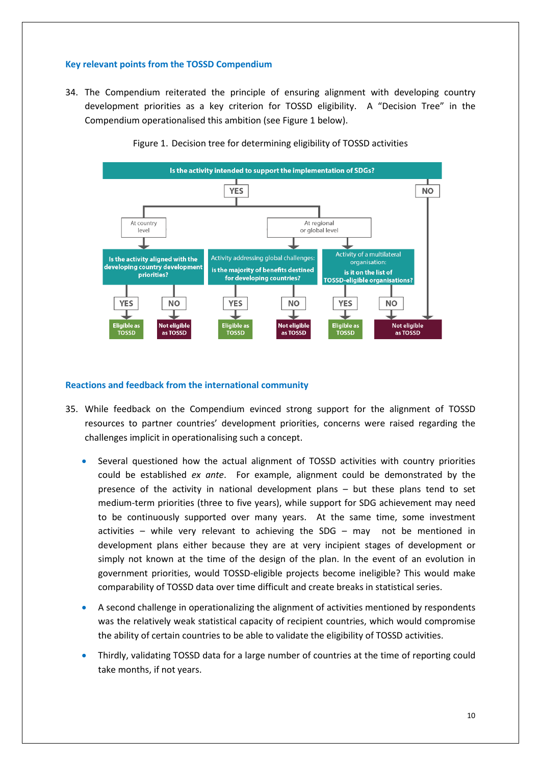### **Key relevant points from the TOSSD Compendium**

34. The Compendium reiterated the principle of ensuring alignment with developing country development priorities as a key criterion for TOSSD eligibility. A "Decision Tree" in the Compendium operationalised this ambition (see Figure 1 below).



Figure 1. Decision tree for determining eligibility of TOSSD activities

#### **Reactions and feedback from the international community**

- 35. While feedback on the Compendium evinced strong support for the alignment of TOSSD resources to partner countries' development priorities, concerns were raised regarding the challenges implicit in operationalising such a concept.
	- Several questioned how the actual alignment of TOSSD activities with country priorities could be established *ex ante*. For example, alignment could be demonstrated by the presence of the activity in national development plans – but these plans tend to set medium-term priorities (three to five years), while support for SDG achievement may need to be continuously supported over many years. At the same time, some investment activities – while very relevant to achieving the SDG – may not be mentioned in development plans either because they are at very incipient stages of development or simply not known at the time of the design of the plan. In the event of an evolution in government priorities, would TOSSD-eligible projects become ineligible? This would make comparability of TOSSD data over time difficult and create breaks in statistical series.
	- A second challenge in operationalizing the alignment of activities mentioned by respondents was the relatively weak statistical capacity of recipient countries, which would compromise the ability of certain countries to be able to validate the eligibility of TOSSD activities.
	- Thirdly, validating TOSSD data for a large number of countries at the time of reporting could take months, if not years.